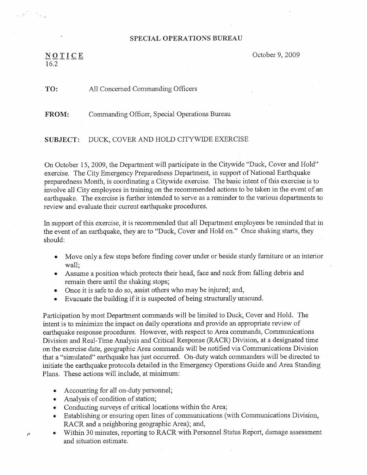## SPECIAL OPERATIONS BUREAU

 $NQIICE$  October 9, 2009 16.2~~~~

## TO: All Concerned Commanding Officers

FROM: Commanding Officer, Special Operations Bureau

## SUBJECT: DUCK, COVER AND HOLD CITYWIDE EXERCISE

On October 15, 2009, the Department will participate in the Citywide "Duck, Cover and Hold" exercise. The City Emergency Preparedness Department, in support of National Earthquake preparedness Month, is coordinating a Citywide exercise. The basic intent of this exercise is to involve all City employees in training on the recommended actions to be taken in the event of an earthquake. The exercise is further intended to 'serve as a reminder to the various departments to review and evaluate their current earthquake procedures.

In support of this exercise, it is recommended that all Department employees be reminded that in the event of an earthquake, they are to "Duck, Cover and Hold on." Once shaking starts, they should:

- Move only a few steps before finding cover under or beside sturdy furniture or an interior wall;
- Assume a position which protects their head, face and neck from falling debris and remain there until the shaking stops;
- Once it is safe to do so, assist others who may be injured; and,
- Evacuate the building if it is suspected of being structurally unsound.

Participation by most Department commands will be limited to Duck, Cover and Hold. The intent is to minimize the impact on daily operations and provide an appropriate review of earthquake response procedures. However, with respect to Area commands, Communications Division and Real-Time Analysis and Critical Response (RACR) Division, at a designated time on the exercise date, geographic Area commands will be notified via Communications Division that a "simulated" earthquake has just occurred. On-duty watch commanders wi11 be directed to initiate the earthquake protocols detailed in the Emergency Operations Guide and Area Standing Plans. These actions will include, at minimum:

- Accounting for all on-duty personnel;
- Analysis of condition of station;

è

- Conducting surveys of critical locations within the Area;
- Establishing or ensuring open lines of communications (with Communications Division, RACR and a neighboring geographic Area); and,
- Within 30 minutes, reporting to RACR with Personnel Status Report, damage assessment and situation estimate.